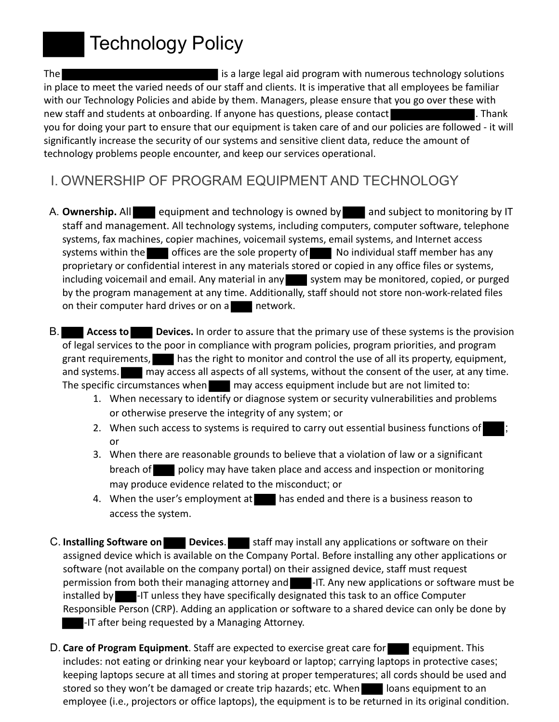

The is a large legal aid program with numerous technology solutions in place to meet the varied needs of our staff and clients. It is imperative that all employees be familiar with our Technology Policies and abide by them. Managers, please ensure that you go over these with new staff and students at onboarding. If anyone has questions, please contact **thangle in the state of the state** you for doing your part to ensure that our equipment is taken care of and our policies are followed - it will significantly increase the security of our systems and sensitive client data, reduce the amount of technology problems people encounter, and keep our services operational.

- I. OWNERSHIP OF PROGRAM EQUIPMENT AND TECHNOLOGY
- A. **Ownership.** All equipment and technology is owned by and subject to monitoring by IT staff and management. All technology systems, including computers, computer software, telephone systems, fax machines, copier machines, voicemail systems, email systems, and Internet access systems within the offices are the sole property of  $\blacksquare$  No individual staff member has any proprietary or confidential interest in any materials stored or copied in any office files or systems, including voicemail and email. Any material in any system may be monitored, copied, or purged by the program management at any time. Additionally, staff should not store non-work-related files on their computer hard drives or on a network.
- B. **Access to Devices.** In order to assure that the primary use of these systems is the provision of legal services to the poor in compliance with program policies, program priorities, and program grant requirements, has the right to monitor and control the use of all its property, equipment, and systems. **The analy access all aspects of all systems, without the consent of the user, at any time.** The specific circumstances when may access equipment include but are not limited to:
	- 1. When necessary to identify or diagnose system or security vulnerabilities and problems or otherwise preserve the integrity of any system; or
	- 2. When such access to systems is required to carry out essential business functions of or
	- 3. When there are reasonable grounds to believe that a violation of law or a significant breach of policy may have taken place and access and inspection or monitoring may produce evidence related to the misconduct; or
	- 4. When the user's employment at has ended and there is a business reason to access the system.
- C. Installing Software on **Devices**. Staff may install any applications or software on their assigned device which is available on the Company Portal. Before installing any other applications or software (not available on the company portal) on their assigned device, staff must request permission from both their managing attorney and **-**IT. Any new applications or software must be installed by **-IT** unless they have specifically designated this task to an office Computer Responsible Person (CRP). Adding an application or software to a shared device can only be done by -IT after being requested by a Managing Attorney.
- D. Care of Program Equipment. Staff are expected to exercise great care for equipment. This includes: not eating or drinking near your keyboard or laptop; carrying laptops in protective cases; keeping laptops secure at all times and storing at proper temperatures; all cords should be used and stored so they won't be damaged or create trip hazards; etc. When loans equipment to an employee (i.e., projectors or office laptops), the equipment is to be returned in its original condition.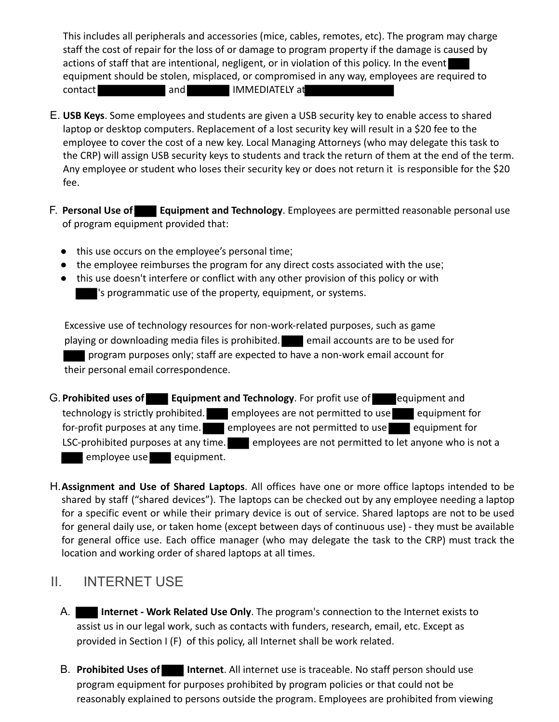This includes all peripherals and accessories (mice, cables, remotes, etc). The program may charge staff the cost of repair for the loss of or damage to program property if the damage is caused by actions of staff that are intentional, negligent, or in violation of this policy. In the event equipment should be stolen, misplaced, or compromised in any way, employees are required to contact and IMMEDIATELY at

- E. **USB Keys**. Some employees and students are given a USB security key to enable access to shared laptop or desktop computers. Replacement of a lost security key will result in a \$20 fee to the employee to cover the cost of a new key. Local Managing Attorneys (who may delegate this task to the CRP) will assign USB security keys to students and track the return of them at the end of the term. Any employee or student who loses their security key or does not return it is responsible for the \$20 fee.
- F. **Personal Use of Equipment and Technology**. Employees are permitted reasonable personal use of program equipment provided that:
	- this use occurs on the employee's personal time;
	- the employee reimburses the program for any direct costs associated with the use;
	- this use doesn't interfere or conflict with any other provision of this policy or with 's programmatic use of the property, equipment, or systems.

Excessive use of technology resources for non-work-related purposes, such as game playing or downloading media files is prohibited. **Example 18 and 18 a** email accounts are to be used for program purposes only; staff are expected to have a non-work email account for their personal email correspondence.

- G. Prohibited uses of **Equipment and Technology**. For profit use of equipment and technology is strictly prohibited. employees are not permitted to use equipment for for-profit purposes at any time.  $\blacksquare$  employees are not permitted to use equipment for LSC-prohibited purposes at any time. employees are not permitted to let anyone who is not a employee use equipment.
- H.**Assignment and Use of Shared Laptops**. All offices have one or more office laptops intended to be shared by staff ("shared devices"). The laptops can be checked out by any employee needing a laptop for a specific event or while their primary device is out of service. Shared laptops are not to be used for general daily use, or taken home (except between days of continuous use) - they must be available for general office use. Each office manager (who may delegate the task to the CRP) must track the location and working order of shared laptops at all times.

### II. INTERNET USE

- A. **Internet Work Related Use Only**. The program's connection to the Internet exists to assist us in our legal work, such as contacts with funders, research, email, etc. Except as provided in Section I (F) of this policy, all Internet shall be work related.
- B. **Prohibited Uses of Internet**. All internet use is traceable. No staff person should use program equipment for purposes prohibited by program policies or that could not be reasonably explained to persons outside the program. Employees are prohibited from viewing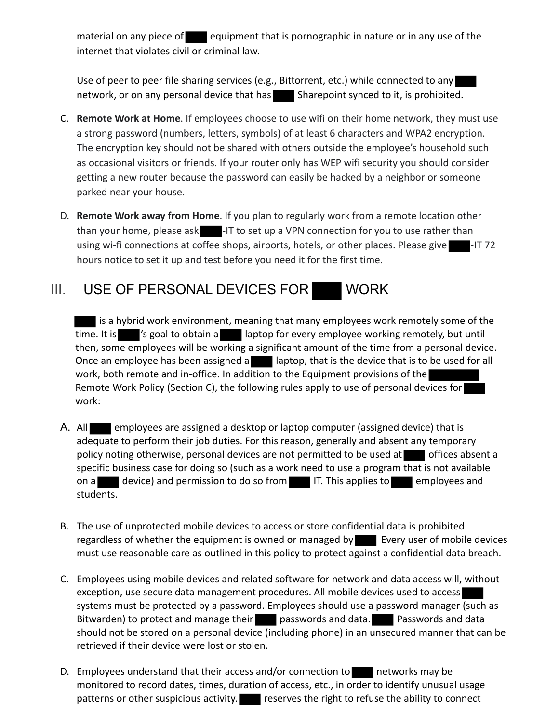material on any piece of  $\blacksquare$  equipment that is pornographic in nature or in any use of the internet that violates civil or criminal law.

Use of peer to peer file sharing services (e.g., Bittorrent, etc.) while connected to any network, or on any personal device that has Sharepoint synced to it, is prohibited.

- C. **Remote Work at Home**. If employees choose to use wifi on their home network, they must use a strong password (numbers, letters, symbols) of at least 6 characters and WPA2 encryption. The encryption key should not be shared with others outside the employee's household such as occasional visitors or friends. If your router only has WEP wifi security you should consider getting a new router because the password can easily be hacked by a neighbor or someone parked near your house.
- D. **Remote Work away from Home**. If you plan to regularly work from a remote location other than your home, please ask  $\blacksquare$ -IT to set up a VPN connection for you to use rather than using wi-fi connections at coffee shops, airports, hotels, or other places. Please give hours notice to set it up and test before you need it for the first time.

# III. USE OF PERSONAL DEVICES FOR WORK

I is a hybrid work environment, meaning that many employees work remotely some of the time. It is 's goal to obtain a laptop for every employee working remotely, but until then, some employees will be working a significant amount of the time from a personal device. Once an employee has been assigned a laptop, that is the device that is to be used for all work, both remote and in-office. In addition to the Equipment provisions of the Remote Work Policy (Section C), the following rules apply to use of personal devices for work:

- A. All employees are assigned a desktop or laptop computer (assigned device) that is adequate to perform their job duties. For this reason, generally and absent any temporary policy noting otherwise, personal devices are not permitted to be used at offices absent a specific business case for doing so (such as a work need to use a program that is not available on a device) and permission to do so from IT. This applies to employees and students.
- B. The use of unprotected mobile devices to access or store confidential data is prohibited regardless of whether the equipment is owned or managed by Every user of mobile devices must use reasonable care as outlined in this policy to protect against a confidential data breach.
- C. Employees using mobile devices and related software for network and data access will, without exception, use secure data management procedures. All mobile devices used to access systems must be protected by a password. Employees should use a password manager (such as Bitwarden) to protect and manage their passwords and data. Passwords and data should not be stored on a personal device (including phone) in an unsecured manner that can be retrieved if their device were lost or stolen.
- D. Employees understand that their access and/or connection to networks may be monitored to record dates, times, duration of access, etc., in order to identify unusual usage patterns or other suspicious activity.  $\blacksquare$  reserves the right to refuse the ability to connect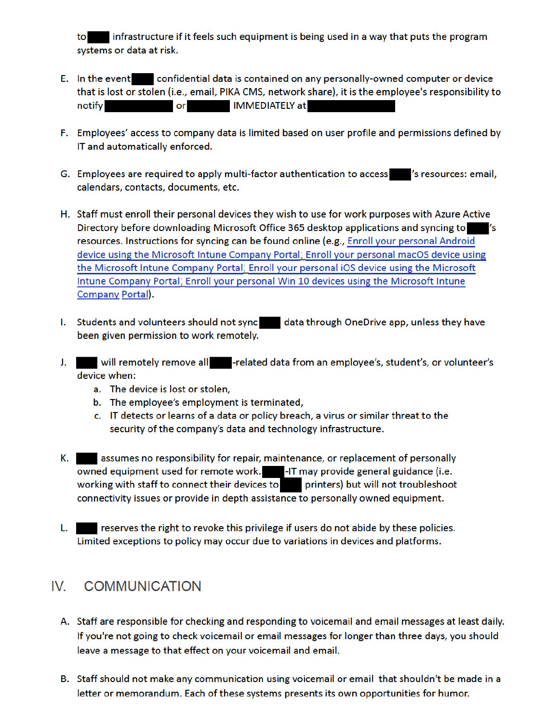to infrastructure if it feels such equipment is being used in a way that puts the program systems or data at risk.

- E. In the event confidential data is contained on any personally-owned computer or device that is lost or stolen (i.e., email, PIKA CMS, network share), it is the employee's responsibility to or IMMEDIATELY at notify
- F. Employees' access to company data is limited based on user profile and permissions defined by IT and automatically enforced.
- G. Employees are required to apply multi-factor authentication to access (sessurces: email, calendars, contacts, documents, etc.
- H. Staff must enroll their personal devices they wish to use for work purposes with Azure Active Directory before downloading Microsoft Office 365 desktop applications and syncing to Vs resources. Instructions for syncing can be found online (e.g., Enroll your personal Android device using the Microsoft Intune Company Portal; Enroll your personal macOS device using the Microsoft Intune Company Portal; Enroll your personal iOS device using the Microsoft Intune Company Portal; Enroll your personal Win 10 devices using the Microsoft Intune Company Portal).
- I. Students and volunteers should not sync data through OneDrive app, unless they have been given permission to work remotely.
- J. Will remotely remove all **Figure 1**-related data from an employee's, student's, or volunteer's device when:
	- a. The device is lost or stolen,
	- b. The employee's employment is terminated,
	- c. IT detects or learns of a data or policy breach, a virus or similar threat to the security of the company's data and technology infrastructure.
- K. assumes no responsibility for repair, maintenance, or replacement of personally owned equipment used for remote work.<br>-IT may provide general guidance (i.e. working with staff to connect their devices to printers) but will not troubleshoot connectivity issues or provide in depth assistance to personally owned equipment.
- L. reserves the right to revoke this privilege if users do not abide by these policies. Limited exceptions to policy may occur due to variations in devices and platforms.

#### IV. **COMMUNICATION**

- A. Staff are responsible for checking and responding to voicemail and email messages at least daily. If you're not going to check voicemail or email messages for longer than three days, you should leave a message to that effect on your voicemail and email.
- B. Staff should not make any communication using voicemail or email that shouldn't be made in a letter or memorandum. Each of these systems presents its own opportunities for humor.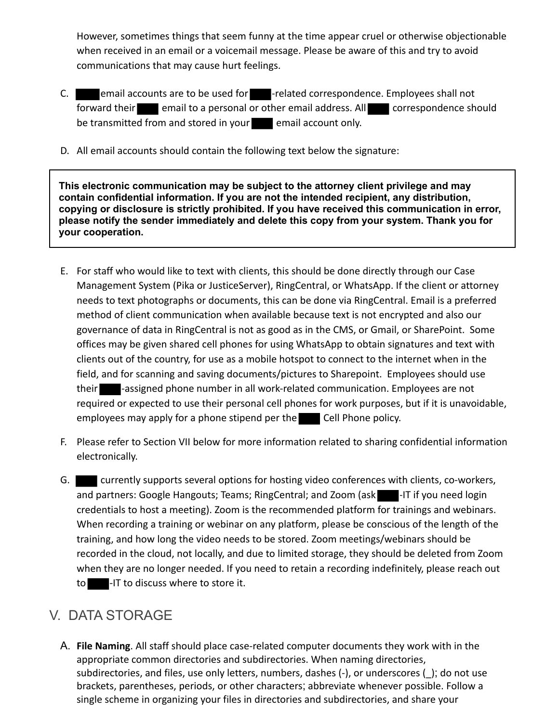However, sometimes things that seem funny at the time appear cruel or otherwise objectionable when received in an email or a voicemail message. Please be aware of this and try to avoid communications that may cause hurt feelings.

- C. **Example 20 and 5 and 5 are set of the ULC** -related correspondence. Employees shall not forward their email to a personal or other email address. All correspondence should be transmitted from and stored in your email account only.
- D. All email accounts should contain the following text below the signature:

**This electronic communication may be subject to the attorney client privilege and may contain confidential information. If you are not the intended recipient, any distribution, copying or disclosure is strictly prohibited. If you have received this communication in error, please notify the sender immediately and delete this copy from your system. Thank you for your cooperation.**

- E. For staff who would like to text with clients, this should be done directly through our Case Management System (Pika or JusticeServer), RingCentral, or WhatsApp. If the client or attorney needs to text photographs or documents, this can be done via RingCentral. Email is a preferred method of client communication when available because text is not encrypted and also our governance of data in RingCentral is not as good as in the CMS, or Gmail, or SharePoint. Some offices may be given shared cell phones for using WhatsApp to obtain signatures and text with clients out of the country, for use as a mobile hotspot to connect to the internet when in the field, and for scanning and saving documents/pictures to Sharepoint. Employees should use their **-**assigned phone number in all work-related communication. Employees are not required or expected to use their personal cell phones for work purposes, but if it is unavoidable, employees may apply for a phone stipend per the Cell Phone policy.
- F. Please refer to Section VII below for more information related to sharing confidential information electronically.
- G. currently supports several options for hosting video conferences with clients, co-workers, and partners: Google Hangouts; Teams; RingCentral; and Zoom (ask Fig. 17 if you need login credentials to host a meeting). Zoom is the recommended platform for trainings and webinars. When recording a training or webinar on any platform, please be conscious of the length of the training, and how long the video needs to be stored. Zoom meetings/webinars should be recorded in the cloud, not locally, and due to limited storage, they should be deleted from Zoom when they are no longer needed. If you need to retain a recording indefinitely, please reach out to -IT to discuss where to store it.

# V. DATA STORAGE

A. **File Naming**. All staff should place case-related computer documents they work with in the appropriate common directories and subdirectories. When naming directories, subdirectories, and files, use only letters, numbers, dashes (-), or underscores (); do not use brackets, parentheses, periods, or other characters; abbreviate whenever possible. Follow a single scheme in organizing your files in directories and subdirectories, and share your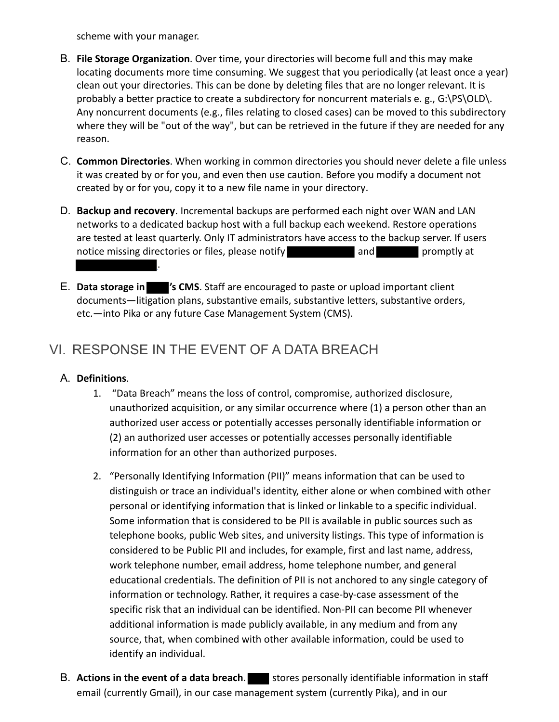scheme with your manager.

- B. **File Storage Organization**. Over time, your directories will become full and this may make locating documents more time consuming. We suggest that you periodically (at least once a year) clean out your directories. This can be done by deleting files that are no longer relevant. It is probably a better practice to create a subdirectory for noncurrent materials e. g., G:\PS\OLD\. Any noncurrent documents (e.g., files relating to closed cases) can be moved to this subdirectory where they will be "out of the way", but can be retrieved in the future if they are needed for any reason.
- C. **Common Directories**. When working in common directories you should never delete a file unless it was created by or for you, and even then use caution. Before you modify a document not created by or for you, copy it to a new file name in your directory.
- D. **Backup and recovery**. Incremental backups are performed each night over WAN and LAN networks to a dedicated backup host with a full backup each weekend. Restore operations are tested at least quarterly. Only IT administrators have access to the backup server. If users notice missing directories or files, please notify **promption and promptly at** .
- E. **Data storage in 's CMS**. Staff are encouraged to paste or upload important client documents—litigation plans, substantive emails, substantive letters, substantive orders, etc.—into Pika or any future Case Management System (CMS).

# VI. RESPONSE IN THE EVENT OF A DATA BREACH

#### A. **Definitions**.

- 1. "Data Breach" means the loss of control, compromise, authorized disclosure, unauthorized acquisition, or any similar occurrence where (1) a person other than an authorized user access or potentially accesses personally identifiable information or (2) an authorized user accesses or potentially accesses personally identifiable information for an other than authorized purposes.
- 2. "Personally Identifying Information (PII)" means information that can be used to distinguish or trace an individual's identity, either alone or when combined with other personal or identifying information that is linked or linkable to a specific individual. Some information that is considered to be PII is available in public sources such as telephone books, public Web sites, and university listings. This type of information is considered to be Public PII and includes, for example, first and last name, address, work telephone number, email address, home telephone number, and general educational credentials. The definition of PII is not anchored to any single category of information or technology. Rather, it requires a case-by-case assessment of the specific risk that an individual can be identified. Non-PII can become PII whenever additional information is made publicly available, in any medium and from any source, that, when combined with other available information, could be used to identify an individual.
- B. **Actions in the event of a data breach**. Stores personally identifiable information in staff email (currently Gmail), in our case management system (currently Pika), and in our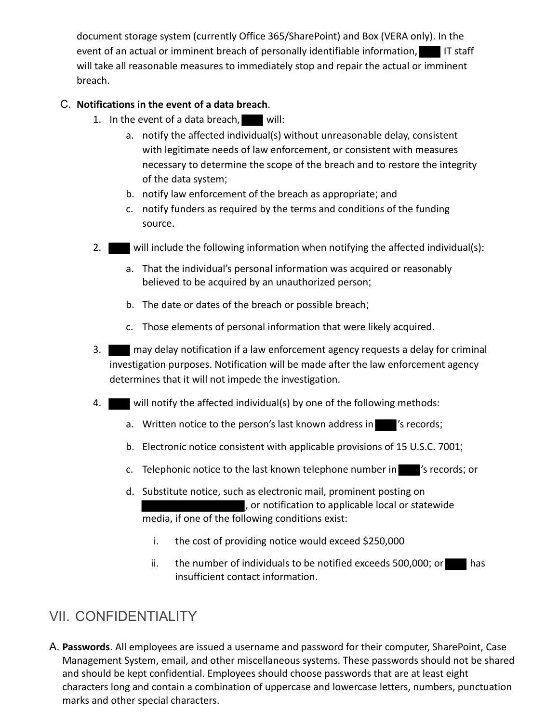document storage system (currently Office 365/SharePoint) and Box (VERA only). In the event of an actual or imminent breach of personally identifiable information, IT staff will take all reasonable measures to immediately stop and repair the actual or imminent breach.

### C. **Notifications in the event of a data breach**.

- 1. In the event of a data breach, will:
	- a. notify the affected individual(s) without unreasonable delay, consistent with legitimate needs of law enforcement, or consistent with measures necessary to determine the scope of the breach and to restore the integrity of the data system;
	- b. notify law enforcement of the breach as appropriate; and
	- c. notify funders as required by the terms and conditions of the funding source.
- 2. will include the following information when notifying the affected individual(s):
	- a. That the individual's personal information was acquired or reasonably believed to be acquired by an unauthorized person;
	- b. The date or dates of the breach or possible breach;
	- c. Those elements of personal information that were likely acquired.
- 3. may delay notification if a law enforcement agency requests a delay for criminal investigation purposes. Notification will be made after the law enforcement agency determines that it will not impede the investigation.
- 4. will notify the affected individual(s) by one of the following methods:
	- a. Written notice to the person's last known address in 's records;
	- b. Electronic notice consistent with applicable provisions of 15 U.S.C. 7001;
	- c. Telephonic notice to the last known telephone number in 's records; or
	- d. Substitute notice, such as electronic mail, prominent posting on , or notification to applicable local or statewide media, if one of the following conditions exist:
		- i. the cost of providing notice would exceed \$250,000
		- ii. the number of individuals to be notified exceeds 500,000; or has insufficient contact information.

# VII. CONFIDENTIALITY

A. **Passwords**. All employees are issued a username and password for their computer, SharePoint, Case Management System, email, and other miscellaneous systems. These passwords should not be shared and should be kept confidential. Employees should choose passwords that are at least eight characters long and contain a combination of uppercase and lowercase letters, numbers, punctuation marks and other special characters.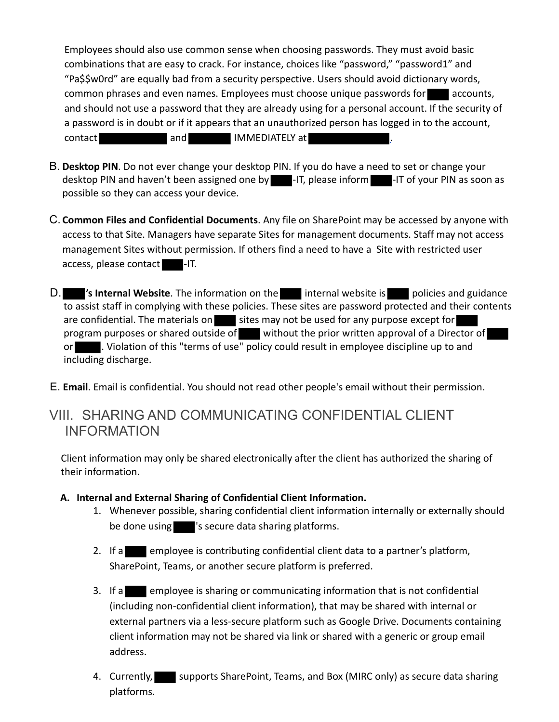Employees should also use common sense when choosing passwords. They must avoid basic combinations that are easy to crack. For instance, choices like "password," "password1" and "Pa\$\$w0rd" are equally bad from a security perspective. Users should avoid dictionary words, common phrases and even names. Employees must choose unique passwords for accounts, and should not use a password that they are already using for a personal account. If the security of a password is in doubt or if it appears that an unauthorized person has logged in to the account, contact and IMMEDIATELY at .

- B. **Desktop PIN**. Do not ever change your desktop PIN. If you do have a need to set or change your desktop PIN and haven't been assigned one by **-IT**, please inform --IT of your PIN as soon as possible so they can access your device.
- C. **Common Files and Confidential Documents**. Any file on SharePoint may be accessed by anyone with access to that Site. Managers have separate Sites for management documents. Staff may not access management Sites without permission. If others find a need to have a Site with restricted user access, please contact -IT.
- D. **S Internal Website**. The information on the internal website is policies and guidance to assist staff in complying with these policies. These sites are password protected and their contents are confidential. The materials on sites may not be used for any purpose except for program purposes or shared outside of without the prior written approval of a Director of or **.** Violation of this "terms of use" policy could result in employee discipline up to and including discharge.
- E. **Email**. Email is confidential. You should not read other people's email without their permission.

### VIII. SHARING AND COMMUNICATING CONFIDENTIAL CLIENT INFORMATION

Client information may only be shared electronically after the client has authorized the sharing of their information.

- **A. Internal and External Sharing of Confidential Client Information.**
	- 1. Whenever possible, sharing confidential client information internally or externally should be done using state is secure data sharing platforms.
	- 2. If a employee is contributing confidential client data to a partner's platform, SharePoint, Teams, or another secure platform is preferred.
	- 3. If a employee is sharing or communicating information that is not confidential (including non-confidential client information), that may be shared with internal or external partners via a less-secure platform such as Google Drive. Documents containing client information may not be shared via link or shared with a generic or group email address.
	- 4. Currently, supports SharePoint, Teams, and Box (MIRC only) as secure data sharing platforms.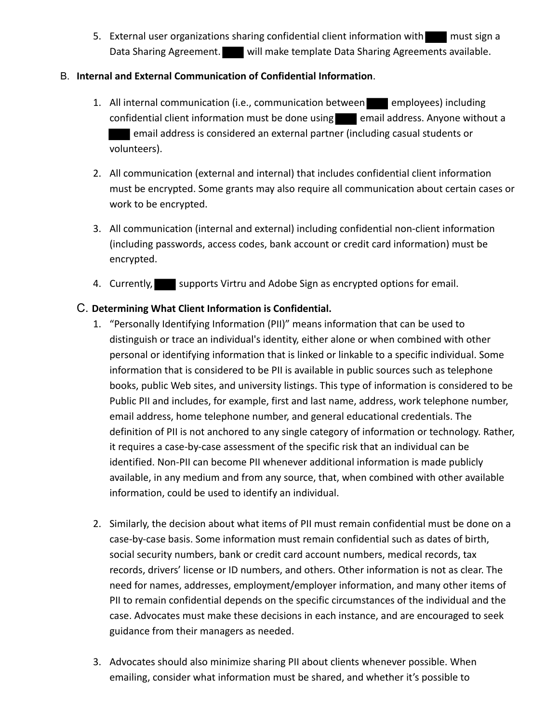5. External user organizations sharing confidential client information with must sign a Data Sharing Agreement. will make template Data Sharing Agreements available.

#### B. **Internal and External Communication of Confidential Information**.

- 1. All internal communication (i.e., communication between employees) including confidential client information must be done using  $\Box$  email address. Anyone without a email address is considered an external partner (including casual students or volunteers).
- 2. All communication (external and internal) that includes confidential client information must be encrypted. Some grants may also require all communication about certain cases or work to be encrypted.
- 3. All communication (internal and external) including confidential non-client information (including passwords, access codes, bank account or credit card information) must be encrypted.
- 4. Currently, supports Virtru and Adobe Sign as encrypted options for email.

#### C. **Determining What Client Information is Confidential.**

- 1. "Personally Identifying Information (PII)" means information that can be used to distinguish or trace an individual's identity, either alone or when combined with other personal or identifying information that is linked or linkable to a specific individual. Some information that is considered to be PII is available in public sources such as telephone books, public Web sites, and university listings. This type of information is considered to be Public PII and includes, for example, first and last name, address, work telephone number, email address, home telephone number, and general educational credentials. The definition of PII is not anchored to any single category of information or technology. Rather, it requires a case-by-case assessment of the specific risk that an individual can be identified. Non-PII can become PII whenever additional information is made publicly available, in any medium and from any source, that, when combined with other available information, could be used to identify an individual.
- 2. Similarly, the decision about what items of PII must remain confidential must be done on a case-by-case basis. Some information must remain confidential such as dates of birth, social security numbers, bank or credit card account numbers, medical records, tax records, drivers' license or ID numbers, and others. Other information is not as clear. The need for names, addresses, employment/employer information, and many other items of PII to remain confidential depends on the specific circumstances of the individual and the case. Advocates must make these decisions in each instance, and are encouraged to seek guidance from their managers as needed.
- 3. Advocates should also minimize sharing PII about clients whenever possible. When emailing, consider what information must be shared, and whether it's possible to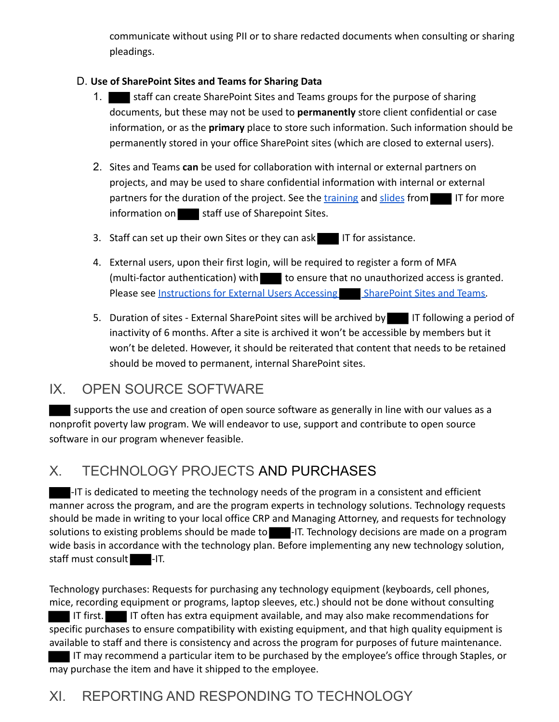communicate without using PII or to share redacted documents when consulting or sharing pleadings.

### D. **Use of SharePoint Sites and Teams for Sharing Data**

- 1. Staff can create SharePoint Sites and Teams groups for the purpose of sharing documents, but these may not be used to **permanently** store client confidential or case information, or as the **primary** place to store such information. Such information should be permanently stored in your office SharePoint sites (which are closed to external users).
- 2. Sites and Teams **can** be used for collaboration with internal or external partners on projects, and may be used to share confidential information with internal or external partners for the duration of the project. See the training and slides from IT for more  $information on$  staff use of Sharepoint Sites.
- 3. Staff can set up their own Sites or they can ask IT for assistance.
- 4. External users, upon their first login, will be required to register a form of MFA (multi-factor authentication) with to ensure that no unauthorized access is granted. Please see Instructions for External Users Accessing SharePoint Sites and Teams.
- 5. Duration of sites External SharePoint sites will be archived by IT following a period of inactivity of 6 months. After a site is archived it won't be accessible by members but it won't be deleted. However, it should be reiterated that content that needs to be retained should be moved to permanent, internal SharePoint sites.

### IX. OPEN SOURCE SOFTWARE

 supports the use and creation of open source software as generally in line with our values as a nonprofit poverty law program. We will endeavor to use, support and contribute to open source software in our program whenever feasible.

# X. TECHNOLOGY PROJECTS AND PURCHASES

-IT is dedicated to meeting the technology needs of the program in a consistent and efficient manner across the program, and are the program experts in technology solutions. Technology requests should be made in writing to your local office CRP and Managing Attorney, and requests for technology solutions to existing problems should be made to -------------------------------wide basis in accordance with the technology plan. Before implementing any new technology solution, staff must consult -IT.

Technology purchases: Requests for purchasing any technology equipment (keyboards, cell phones, mice, recording equipment or programs, laptop sleeves, etc.) should not be done without consulting IT first. IT often has extra equipment available, and may also make recommendations for specific purchases to ensure compatibility with existing equipment, and that high quality equipment is available to staff and there is consistency and across the program for purposes of future maintenance.

 IT may recommend a particular item to be purchased by the employee's office through Staples, or may purchase the item and have it shipped to the employee.

# XI. REPORTING AND RESPONDING TO TECHNOLOGY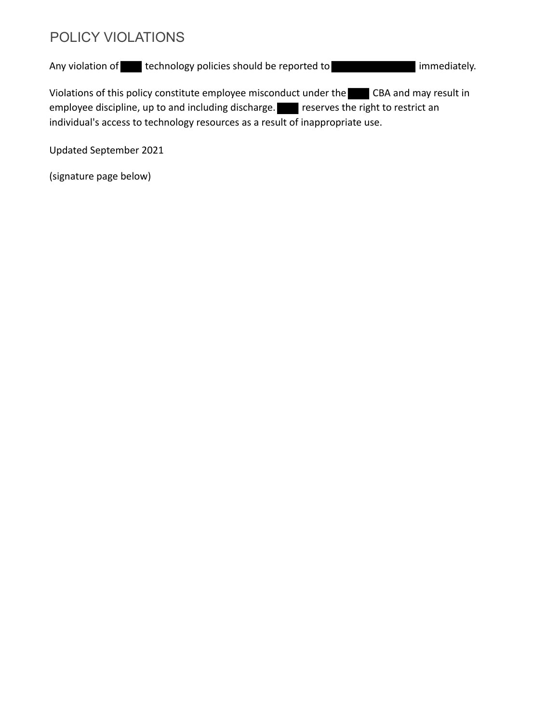## POLICY VIOLATIONS

Any violation of technology policies should be reported to immediately.

Violations of this policy constitute employee misconduct under the CBA and may result in employee discipline, up to and including discharge. reserves the right to restrict an individual's access to technology resources as a result of inappropriate use.

Updated September 2021

(signature page below)